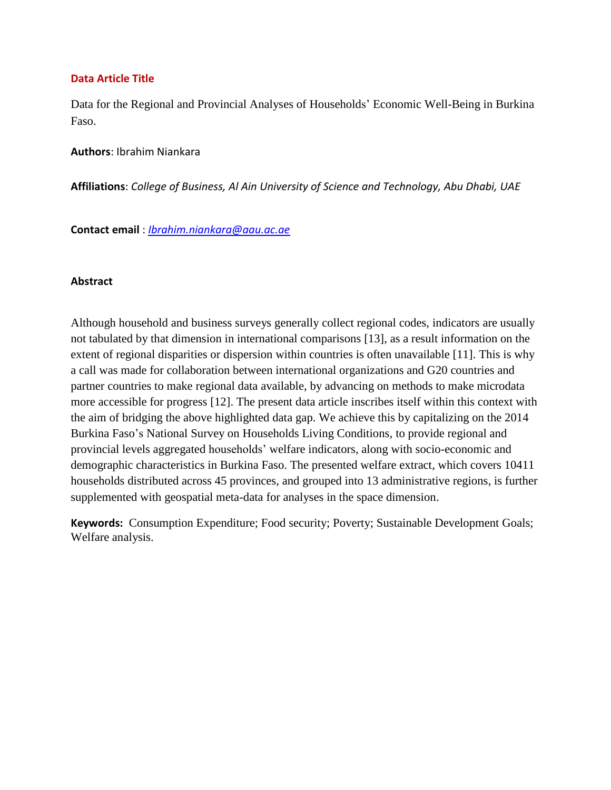#### **Data Article Title**

Data for the Regional and Provincial Analyses of Households' Economic Well-Being in Burkina Faso.

**Authors**: Ibrahim Niankara

**Affiliations**: *College of Business, Al Ain University of Science and Technology, Abu Dhabi, UAE*

**Contact email** : *[Ibrahim.niankara@aau.ac.ae](mailto:Ibrahim.niankara@aau.ac.ae)*

#### **Abstract**

Although household and business surveys generally collect regional codes, indicators are usually not tabulated by that dimension in international comparisons [13], as a result information on the extent of regional disparities or dispersion within countries is often unavailable [11]. This is why a call was made for collaboration between international organizations and G20 countries and partner countries to make regional data available, by advancing on methods to make microdata more accessible for progress [12]. The present data article inscribes itself within this context with the aim of bridging the above highlighted data gap. We achieve this by capitalizing on the 2014 Burkina Faso's National Survey on Households Living Conditions, to provide regional and provincial levels aggregated households' welfare indicators, along with socio-economic and demographic characteristics in Burkina Faso. The presented welfare extract, which covers 10411 households distributed across 45 provinces, and grouped into 13 administrative regions, is further supplemented with geospatial meta-data for analyses in the space dimension.

**Keywords:** Consumption Expenditure; Food security; Poverty; Sustainable Development Goals; Welfare analysis.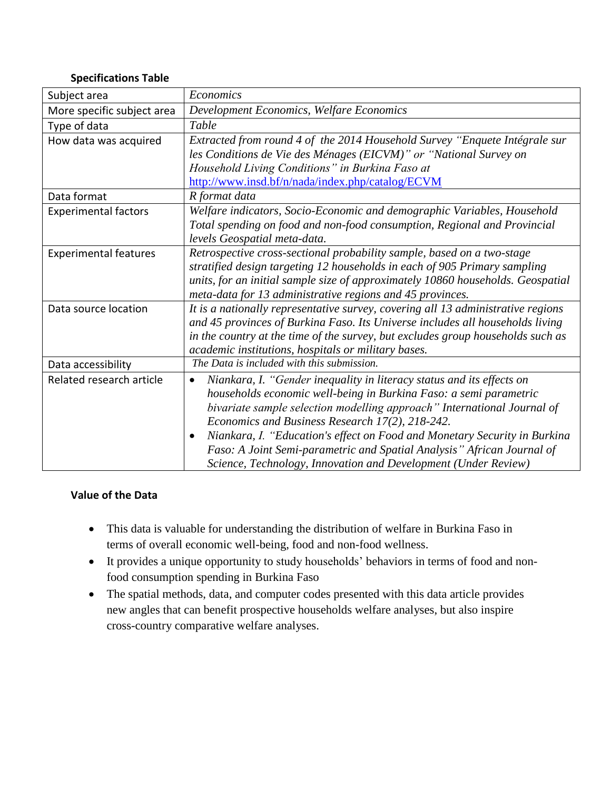#### **Specifications Table**

| Subject area                 | Economics                                                                                                                                                                                                                                                                                                                                                                                                                                                                                                           |
|------------------------------|---------------------------------------------------------------------------------------------------------------------------------------------------------------------------------------------------------------------------------------------------------------------------------------------------------------------------------------------------------------------------------------------------------------------------------------------------------------------------------------------------------------------|
| More specific subject area   | Development Economics, Welfare Economics                                                                                                                                                                                                                                                                                                                                                                                                                                                                            |
| Type of data                 | Table                                                                                                                                                                                                                                                                                                                                                                                                                                                                                                               |
| How data was acquired        | Extracted from round 4 of the 2014 Household Survey "Enquete Intégrale sur<br>les Conditions de Vie des Ménages (EICVM)" or "National Survey on<br>Household Living Conditions" in Burkina Faso at<br>http://www.insd.bf/n/nada/index.php/catalog/ECVM                                                                                                                                                                                                                                                              |
| Data format                  | R format data                                                                                                                                                                                                                                                                                                                                                                                                                                                                                                       |
| <b>Experimental factors</b>  | Welfare indicators, Socio-Economic and demographic Variables, Household<br>Total spending on food and non-food consumption, Regional and Provincial<br>levels Geospatial meta-data.                                                                                                                                                                                                                                                                                                                                 |
| <b>Experimental features</b> | Retrospective cross-sectional probability sample, based on a two-stage<br>stratified design targeting 12 households in each of 905 Primary sampling<br>units, for an initial sample size of approximately 10860 households. Geospatial<br>meta-data for 13 administrative regions and 45 provinces.                                                                                                                                                                                                                 |
| Data source location         | It is a nationally representative survey, covering all 13 administrative regions<br>and 45 provinces of Burkina Faso. Its Universe includes all households living<br>in the country at the time of the survey, but excludes group households such as<br>academic institutions, hospitals or military bases.                                                                                                                                                                                                         |
| Data accessibility           | The Data is included with this submission.                                                                                                                                                                                                                                                                                                                                                                                                                                                                          |
| Related research article     | Niankara, I. "Gender inequality in literacy status and its effects on<br>$\bullet$<br>households economic well-being in Burkina Faso: a semi parametric<br>bivariate sample selection modelling approach" International Journal of<br>Economics and Business Research 17(2), 218-242.<br>Niankara, I. "Education's effect on Food and Monetary Security in Burkina<br>٠<br>Faso: A Joint Semi-parametric and Spatial Analysis" African Journal of<br>Science, Technology, Innovation and Development (Under Review) |

## **Value of the Data**

- This data is valuable for understanding the distribution of welfare in Burkina Faso in terms of overall economic well-being, food and non-food wellness.
- It provides a unique opportunity to study households' behaviors in terms of food and nonfood consumption spending in Burkina Faso
- The spatial methods, data, and computer codes presented with this data article provides new angles that can benefit prospective households welfare analyses, but also inspire cross-country comparative welfare analyses.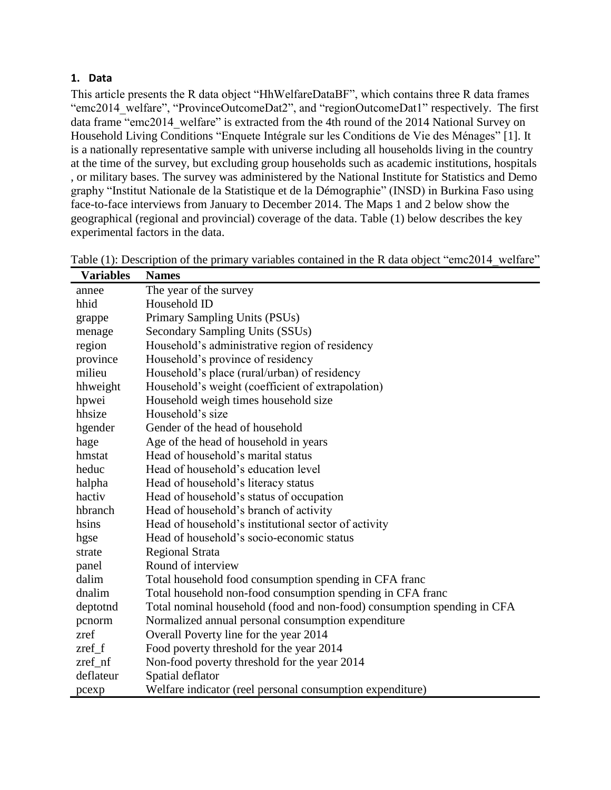### **1. Data**

**Variables Names**

This article presents the R data object "HhWelfareDataBF", which contains three R data frames "emc2014\_welfare", "ProvinceOutcomeDat2", and "regionOutcomeDat1" respectively. The first data frame "emc2014 welfare" is extracted from the 4th round of the 2014 National Survey on Household Living Conditions "Enquete Intégrale sur les Conditions de Vie des Ménages" [1]. It is a nationally representative sample with universe including all households living in the country at the time of the survey, but excluding group households such as academic institutions, hospitals , or military bases. The survey was administered by the National Institute for Statistics and Demo graphy "Institut Nationale de la Statistique et de la Démographie" (INSD) in Burkina Faso using face-to-face interviews from January to December 2014. The Maps 1 and 2 below show the geographical (regional and provincial) coverage of the data. Table (1) below describes the key experimental factors in the data.

| v afiadies | <b>Names</b>                                                            |
|------------|-------------------------------------------------------------------------|
| annee      | The year of the survey                                                  |
| hhid       | Household ID                                                            |
| grappe     | Primary Sampling Units (PSUs)                                           |
| menage     | Secondary Sampling Units (SSUs)                                         |
| region     | Household's administrative region of residency                          |
| province   | Household's province of residency                                       |
| milieu     | Household's place (rural/urban) of residency                            |
| hhweight   | Household's weight (coefficient of extrapolation)                       |
| hpwei      | Household weigh times household size                                    |
| hhsize     | Household's size                                                        |
| hgender    | Gender of the head of household                                         |
| hage       | Age of the head of household in years                                   |
| hmstat     | Head of household's marital status                                      |
| heduc      | Head of household's education level                                     |
| halpha     | Head of household's literacy status                                     |
| hactiv     | Head of household's status of occupation                                |
| hbranch    | Head of household's branch of activity                                  |
| hsins      | Head of household's institutional sector of activity                    |
| hgse       | Head of household's socio-economic status                               |
| strate     | <b>Regional Strata</b>                                                  |
| panel      | Round of interview                                                      |
| dalim      | Total household food consumption spending in CFA franc                  |
| dnalim     | Total household non-food consumption spending in CFA franc              |
| deptotnd   | Total nominal household (food and non-food) consumption spending in CFA |
| pcnorm     | Normalized annual personal consumption expenditure                      |
| zref       | Overall Poverty line for the year 2014                                  |
| $zref_f$   | Food poverty threshold for the year 2014                                |
| zref_nf    | Non-food poverty threshold for the year 2014                            |
| deflateur  | Spatial deflator                                                        |
| pcexp      | Welfare indicator (reel personal consumption expenditure)               |

| Table (1): Description of the primary variables contained in the R data object "emc2014_welfare" |
|--------------------------------------------------------------------------------------------------|
|--------------------------------------------------------------------------------------------------|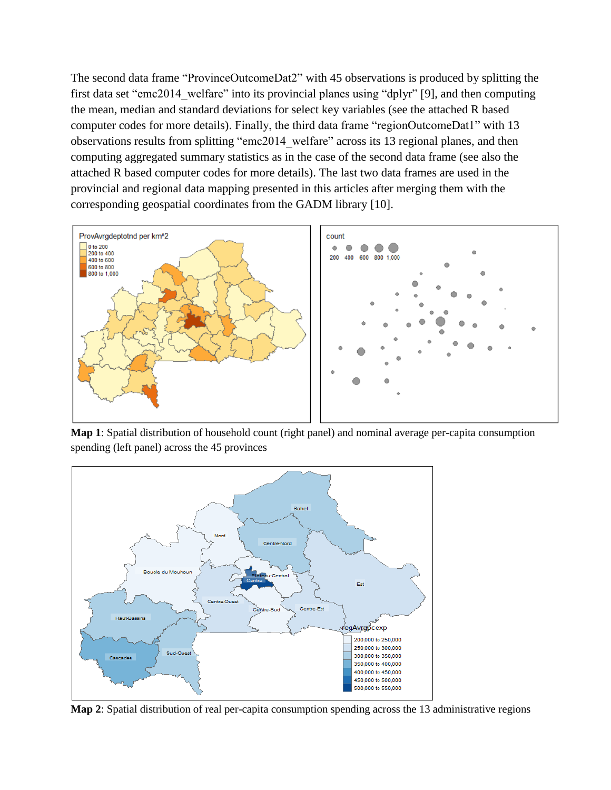The second data frame "ProvinceOutcomeDat2" with 45 observations is produced by splitting the first data set "emc2014\_welfare" into its provincial planes using "dplyr" [9], and then computing the mean, median and standard deviations for select key variables (see the attached R based computer codes for more details). Finally, the third data frame "regionOutcomeDat1" with 13 observations results from splitting "emc2014\_welfare" across its 13 regional planes, and then computing aggregated summary statistics as in the case of the second data frame (see also the attached R based computer codes for more details). The last two data frames are used in the provincial and regional data mapping presented in this articles after merging them with the corresponding geospatial coordinates from the GADM library [10].



**Map 1**: Spatial distribution of household count (right panel) and nominal average per-capita consumption spending (left panel) across the 45 provinces



**Map 2**: Spatial distribution of real per-capita consumption spending across the 13 administrative regions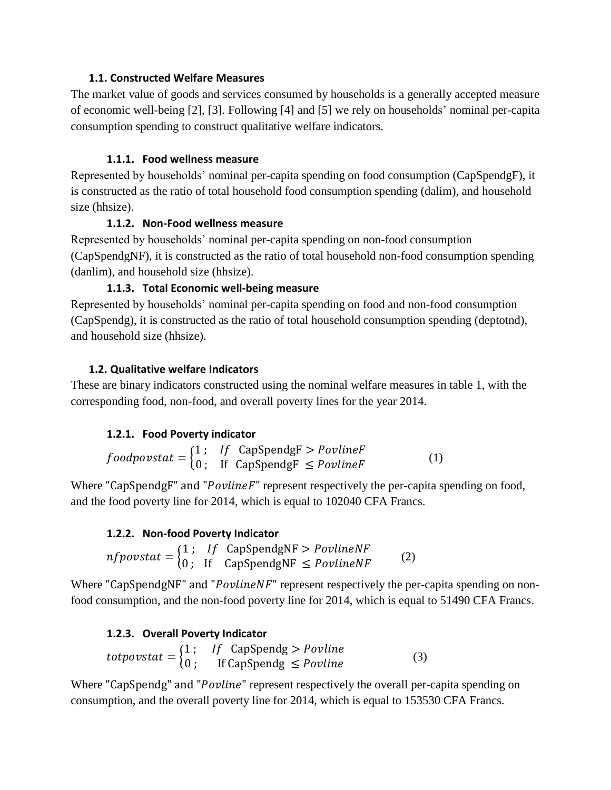### **1.1. Constructed Welfare Measures**

The market value of goods and services consumed by households is a generally accepted measure of economic well-being [2], [3]. Following [4] and [5] we rely on households' nominal per-capita consumption spending to construct qualitative welfare indicators.

## **1.1.1. Food wellness measure**

Represented by households' nominal per-capita spending on food consumption (CapSpendgF), it is constructed as the ratio of total household food consumption spending (dalim), and household size (hhsize).

## **1.1.2. Non-Food wellness measure**

Represented by households' nominal per-capita spending on non-food consumption (CapSpendgNF), it is constructed as the ratio of total household non-food consumption spending (danlim), and household size (hhsize).

# **1.1.3. Total Economic well-being measure**

Represented by households' nominal per-capita spending on food and non-food consumption (CapSpendg), it is constructed as the ratio of total household consumption spending (deptotnd), and household size (hhsize).

## **1.2. Qualitative welfare Indicators**

These are binary indicators constructed using the nominal welfare measures in table 1, with the corresponding food, non-food, and overall poverty lines for the year 2014.

## **1.2.1. Food Poverty indicator**

= { 1 ; CapSpendgF > <sup>0</sup> ; If CapSpendgF <sup>≤</sup> (1)

Where "CapSpendgF" and " $Poylinder$ " represent respectively the per-capita spending on food, and the food poverty line for 2014, which is equal to 102040 CFA Francs.

# **1.2.2. Non-food Poverty Indicator**

 $nfpovstat = \begin{cases} 1\ ; &\text{if} \quad \text{CapSpendgNF} > \text{PovlineNF} \ 0\ ; &\text{if} \quad \text{CapSpendgNF} \le \text{PovlineNF} \end{cases} \eqno{(2)}$ 

Where "CapSpendgNF" and " $PovlineNF$ " represent respectively the per-capita spending on nonfood consumption, and the non-food poverty line for 2014, which is equal to 51490 CFA Francs.

# **1.2.3. Overall Poverty Indicator**

= { 1 ; CapSpendg > <sup>0</sup> ; If CapSpendg <sup>≤</sup> (3)

Where "CapSpendg" and "Povline" represent respectively the overall per-capita spending on consumption, and the overall poverty line for 2014, which is equal to 153530 CFA Francs.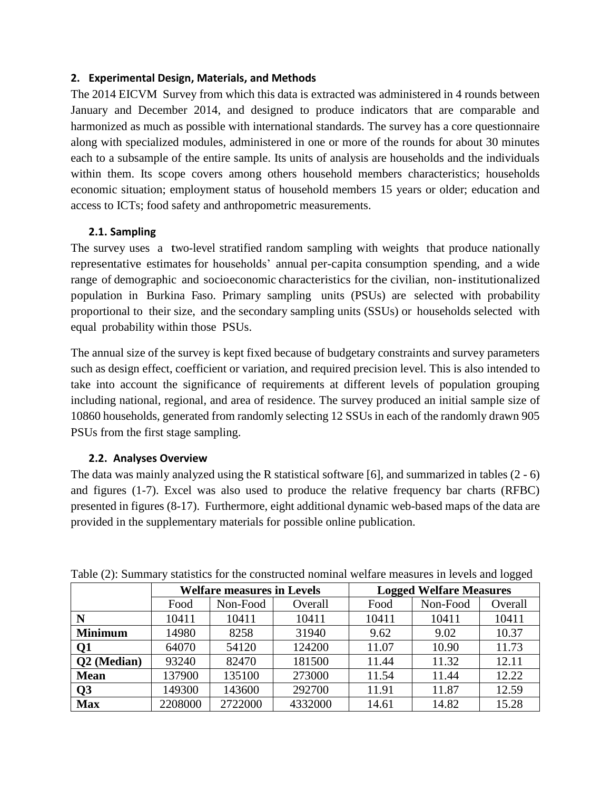### **2. Experimental Design, Materials, and Methods**

The 2014 EICVM Survey from which this data is extracted was administered in 4 rounds between January and December 2014, and designed to produce indicators that are comparable and harmonized as much as possible with international standards. The survey has a core questionnaire along with specialized modules, administered in one or more of the rounds for about 30 minutes each to a subsample of the entire sample. Its units of analysis are households and the individuals within them. Its scope covers among others household members characteristics; households economic situation; employment status of household members 15 years or older; education and access to ICTs; food safety and anthropometric measurements.

## **2.1. Sampling**

The survey uses a two-level stratified random sampling with weights that produce nationally representative estimates for households' annual per-capita consumption spending, and a wide range of demographic and socioeconomic characteristics for the civilian, non-institutionalized population in Burkina Faso. Primary sampling units (PSUs) are selected with probability proportional to their size, and the secondary sampling units (SSUs) or households selected with equal probability within those PSUs.

The annual size of the survey is kept fixed because of budgetary constraints and survey parameters such as design effect, coefficient or variation, and required precision level. This is also intended to take into account the significance of requirements at different levels of population grouping including national, regional, and area of residence. The survey produced an initial sample size of 10860 households, generated from randomly selecting 12 SSUs in each of the randomly drawn 905 PSUs from the first stage sampling.

## **2.2. Analyses Overview**

The data was mainly analyzed using the R statistical software [6], and summarized in tables (2 - 6) and figures (1-7). Excel was also used to produce the relative frequency bar charts (RFBC) presented in figures (8-17). Furthermore, eight additional dynamic web-based maps of the data are provided in the supplementary materials for possible online publication.

| Twore $(2)$ , buttoning y statistics for the constructed homining weither measures in revers and follow |                                   |          |         |                                |          |         |  |
|---------------------------------------------------------------------------------------------------------|-----------------------------------|----------|---------|--------------------------------|----------|---------|--|
|                                                                                                         | <b>Welfare measures in Levels</b> |          |         | <b>Logged Welfare Measures</b> |          |         |  |
|                                                                                                         | Food                              | Non-Food | Overall | Food                           | Non-Food | Overall |  |
| N                                                                                                       | 10411                             | 10411    | 10411   | 10411                          | 10411    | 10411   |  |
| <b>Minimum</b>                                                                                          | 14980                             | 8258     | 31940   | 9.62                           | 9.02     | 10.37   |  |
| Q1                                                                                                      | 64070                             | 54120    | 124200  | 11.07                          | 10.90    | 11.73   |  |
| Q2 (Median)                                                                                             | 93240                             | 82470    | 181500  | 11.44                          | 11.32    | 12.11   |  |
| <b>Mean</b>                                                                                             | 137900                            | 135100   | 273000  | 11.54                          | 11.44    | 12.22   |  |
| Q3                                                                                                      | 149300                            | 143600   | 292700  | 11.91                          | 11.87    | 12.59   |  |
| <b>Max</b>                                                                                              | 2208000                           | 2722000  | 4332000 | 14.61                          | 14.82    | 15.28   |  |

Table (2): Summary statistics for the constructed nominal welfare measures in levels and logged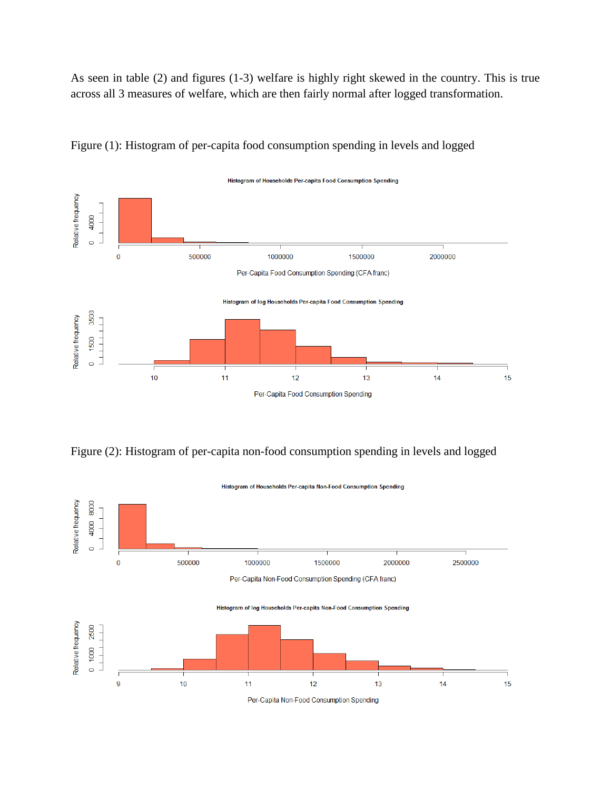As seen in table (2) and figures (1-3) welfare is highly right skewed in the country. This is true across all 3 measures of welfare, which are then fairly normal after logged transformation.



Figure (1): Histogram of per-capita food consumption spending in levels and logged



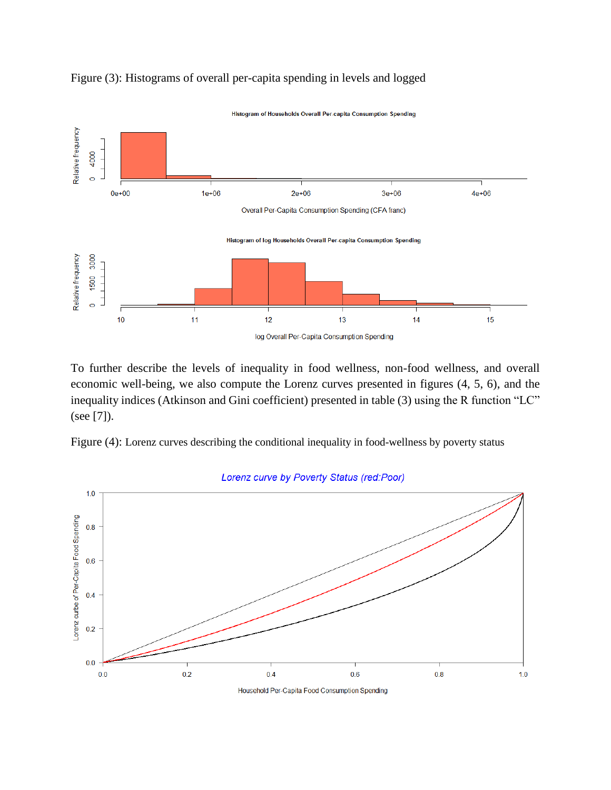

Figure (3): Histograms of overall per-capita spending in levels and logged

To further describe the levels of inequality in food wellness, non-food wellness, and overall economic well-being, we also compute the Lorenz curves presented in figures (4, 5, 6), and the inequality indices (Atkinson and Gini coefficient) presented in table (3) using the R function "LC" (see [7]).





Household Per-Capita Food Consumption Spending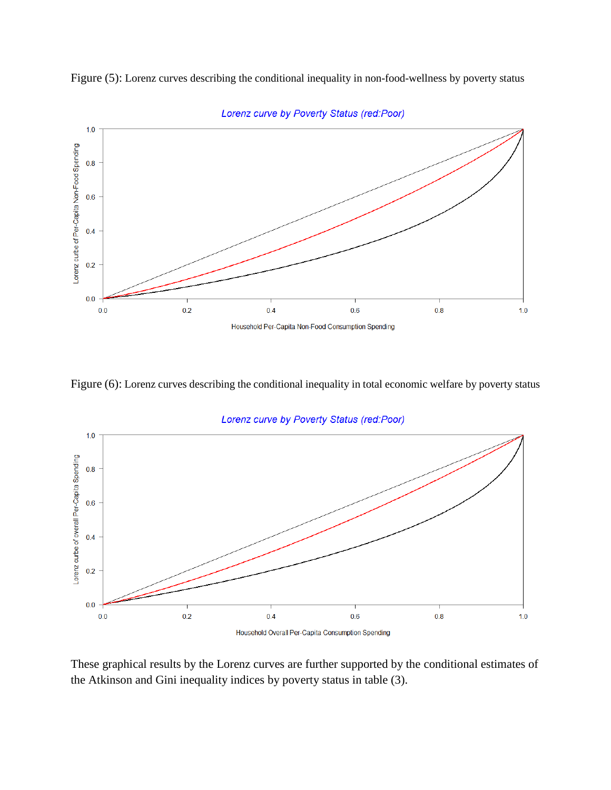



Lorenz curve by Poverty Status (red:Poor)

Figure (6): Lorenz curves describing the conditional inequality in total economic welfare by poverty status



Lorenz curve by Poverty Status (red:Poor)

Household Overall Per-Capita Consumption Spending

These graphical results by the Lorenz curves are further supported by the conditional estimates of the Atkinson and Gini inequality indices by poverty status in table (3).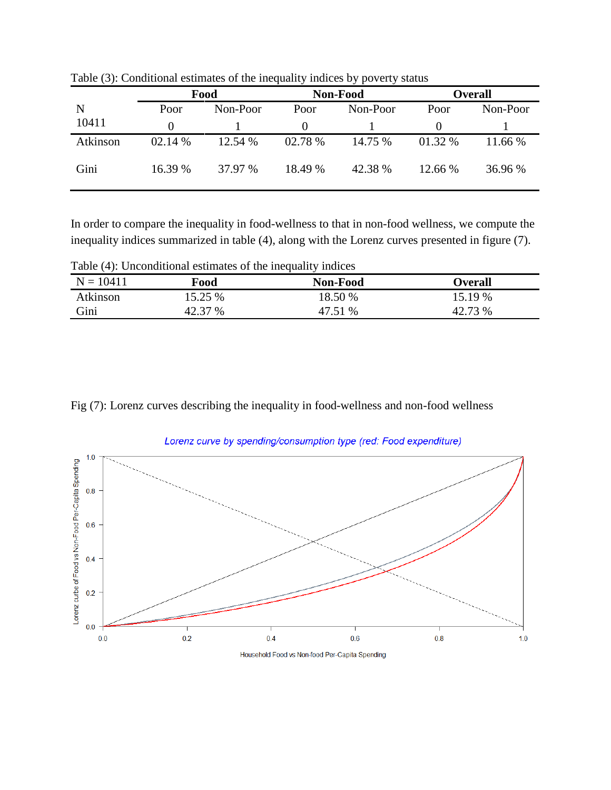|          | Food    |          | Non-Food |          | <b>Overall</b> |          |
|----------|---------|----------|----------|----------|----------------|----------|
| N        | Poor    | Non-Poor | Poor     | Non-Poor | Poor           | Non-Poor |
| 10411    |         |          | $\theta$ |          |                |          |
| Atkinson | 02.14 % | 12.54 %  | 02.78 %  | 14.75 %  | 01.32 %        | 11.66 %  |
| Gini     | 16.39 % | 37.97 %  | 18.49 %  | 42.38 %  | 12.66 %        | 36.96 %  |

Table (3): Conditional estimates of the inequality indices by poverty status

In order to compare the inequality in food-wellness to that in non-food wellness, we compute the inequality indices summarized in table (4), along with the Lorenz curves presented in figure (7).

Table (4): Unconditional estimates of the inequality indices

| $N = 10411$     | Food    | Non-Food | Overall |
|-----------------|---------|----------|---------|
| <b>Atkinson</b> | 15.25 % | 18.50 %  | 15.19 % |
| Gini            | 42.37 % | 47.51 %  | 42.73 % |

Fig (7): Lorenz curves describing the inequality in food-wellness and non-food wellness



Lorenz curve by spending/consumption type (red: Food expenditure)

Household Food vs Non-food Per-Capita Spending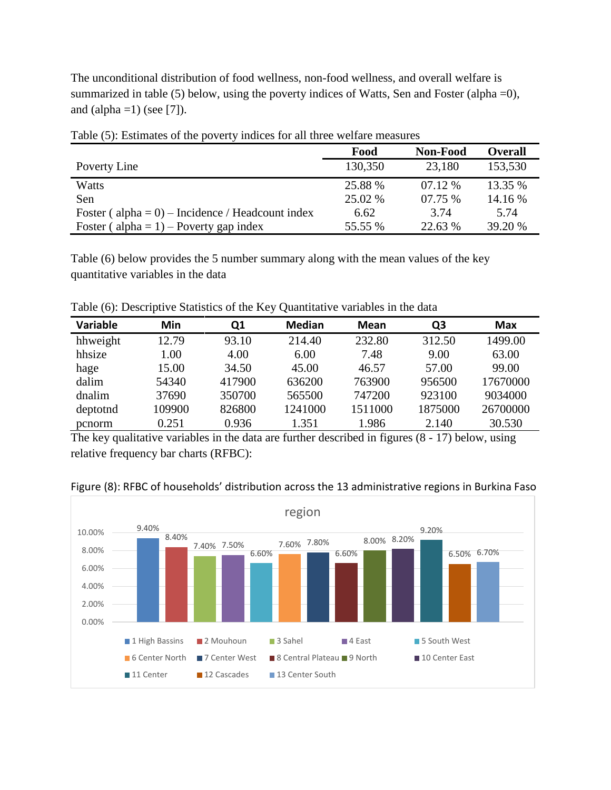The unconditional distribution of food wellness, non-food wellness, and overall welfare is summarized in table (5) below, using the poverty indices of Watts, Sen and Foster (alpha  $=$ 0), and  $\alpha$ alpha =1) (see [7]).

|                                                      | Food    | <b>Non-Food</b> | <b>Overall</b> |  |  |
|------------------------------------------------------|---------|-----------------|----------------|--|--|
| Poverty Line                                         | 130,350 | 23,180          | 153,530        |  |  |
| Watts                                                | 25.88 % | $07.12\%$       | 13.35 %        |  |  |
| Sen                                                  | 25.02 % | 07.75 %         | 14.16 %        |  |  |
| Foster ( $alpha = 0$ ) – Incidence / Headcount index | 6.62    | 3.74            | 5.74           |  |  |
| Foster ( $alpha = 1$ ) – Poverty gap index           | 55.55 % | 22.63 %         | 39.20 %        |  |  |

Table (5): Estimates of the poverty indices for all three welfare measures

Table (6) below provides the 5 number summary along with the mean values of the key quantitative variables in the data

Table (6): Descriptive Statistics of the Key Quantitative variables in the data

| Variable | Min    | Q1     | <b>Median</b> | <b>Mean</b> | Q <sub>3</sub> | Max      |
|----------|--------|--------|---------------|-------------|----------------|----------|
| hhweight | 12.79  | 93.10  | 214.40        | 232.80      | 312.50         | 1499.00  |
| hhsize   | 1.00   | 4.00   | 6.00          | 7.48        | 9.00           | 63.00    |
| hage     | 15.00  | 34.50  | 45.00         | 46.57       | 57.00          | 99.00    |
| dalim    | 54340  | 417900 | 636200        | 763900      | 956500         | 17670000 |
| dnalim   | 37690  | 350700 | 565500        | 747200      | 923100         | 9034000  |
| deptotnd | 109900 | 826800 | 1241000       | 1511000     | 1875000        | 26700000 |
| pcnorm   | 0.251  | 0.936  | 1.351         | 1.986       | 2.140          | 30.530   |

The key qualitative variables in the data are further described in figures (8 - 17) below, using relative frequency bar charts (RFBC):



Figure (8): RFBC of households' distribution across the 13 administrative regions in Burkina Faso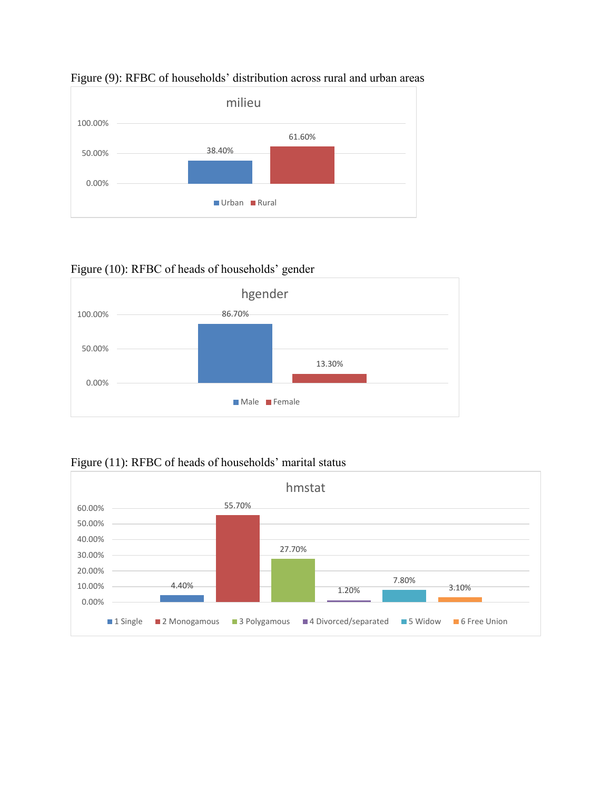

### Figure (9): RFBC of households' distribution across rural and urban areas

## Figure (10): RFBC of heads of households' gender



# Figure (11): RFBC of heads of households' marital status

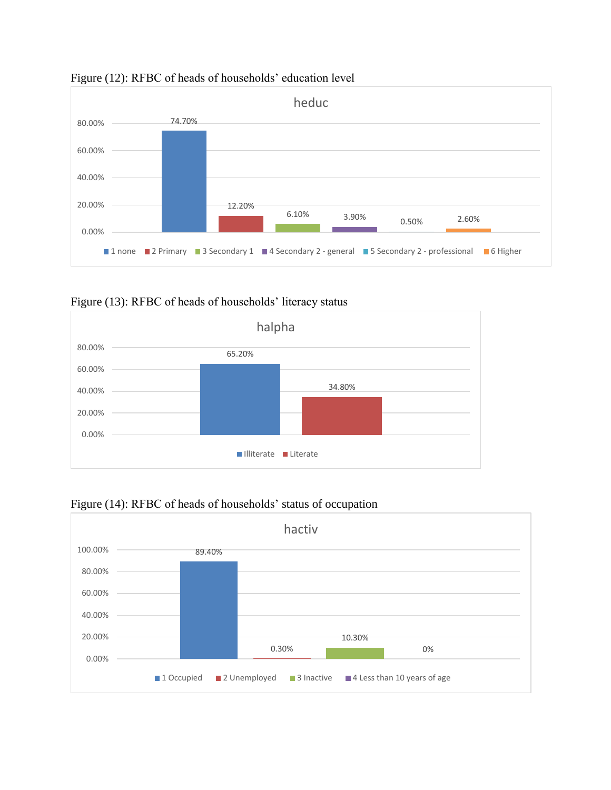

## Figure (12): RFBC of heads of households' education level







## Figure (14): RFBC of heads of households' status of occupation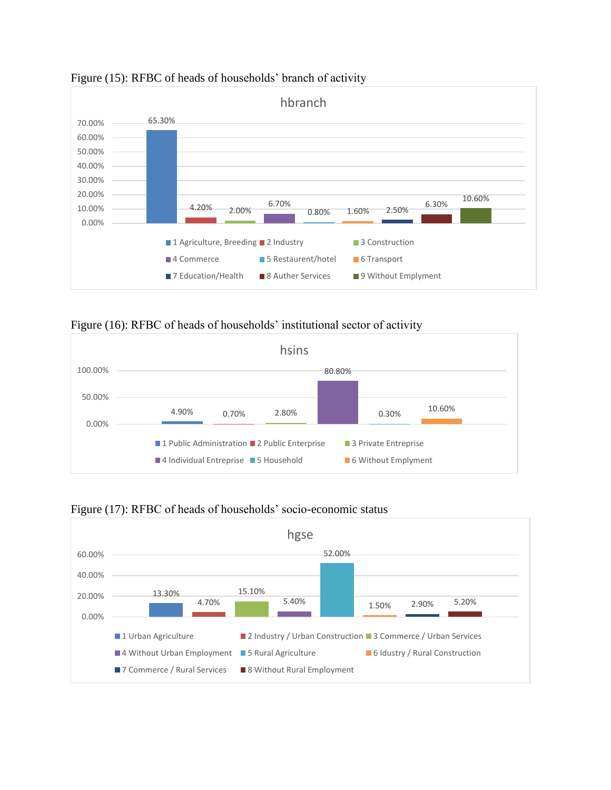

Figure (15): RFBC of heads of households' branch of activity

Figure (16): RFBC of heads of households' institutional sector of activity





Figure (17): RFBC of heads of households' socio-economic status